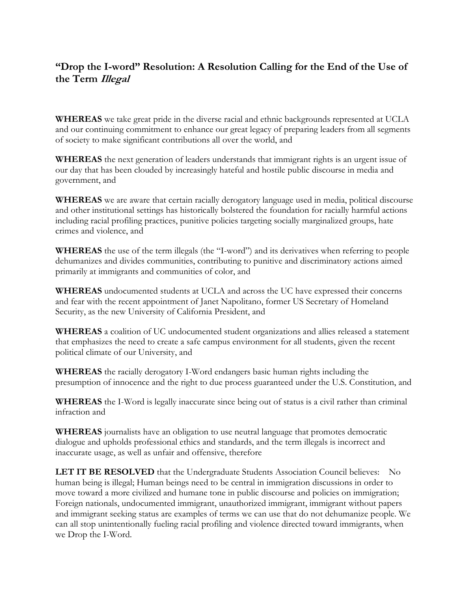## **"Drop the I-word" Resolution: A Resolution Calling for the End of the Use of the Term Illegal**

**WHEREAS** we take great pride in the diverse racial and ethnic backgrounds represented at UCLA and our continuing commitment to enhance our great legacy of preparing leaders from all segments of society to make significant contributions all over the world, and

**WHEREAS** the next generation of leaders understands that immigrant rights is an urgent issue of our day that has been clouded by increasingly hateful and hostile public discourse in media and government, and

**WHEREAS** we are aware that certain racially derogatory language used in media, political discourse and other institutional settings has historically bolstered the foundation for racially harmful actions including racial profiling practices, punitive policies targeting socially marginalized groups, hate crimes and violence, and

**WHEREAS** the use of the term illegals (the "I-word") and its derivatives when referring to people dehumanizes and divides communities, contributing to punitive and discriminatory actions aimed primarily at immigrants and communities of color, and

**WHEREAS** undocumented students at UCLA and across the UC have expressed their concerns and fear with the recent appointment of Janet Napolitano, former US Secretary of Homeland Security, as the new University of California President, and

**WHEREAS** a coalition of UC undocumented student organizations and allies released a statement that emphasizes the need to create a safe campus environment for all students, given the recent political climate of our University, and

**WHEREAS** the racially derogatory I-Word endangers basic human rights including the presumption of innocence and the right to due process guaranteed under the U.S. Constitution, and

**WHEREAS** the I-Word is legally inaccurate since being out of status is a civil rather than criminal infraction and

**WHEREAS** journalists have an obligation to use neutral language that promotes democratic dialogue and upholds professional ethics and standards, and the term illegals is incorrect and inaccurate usage, as well as unfair and offensive, therefore

**LET IT BE RESOLVED** that the Undergraduate Students Association Council believes: No human being is illegal; Human beings need to be central in immigration discussions in order to move toward a more civilized and humane tone in public discourse and policies on immigration; Foreign nationals, undocumented immigrant, unauthorized immigrant, immigrant without papers and immigrant seeking status are examples of terms we can use that do not dehumanize people. We can all stop unintentionally fueling racial profiling and violence directed toward immigrants, when we Drop the I-Word.